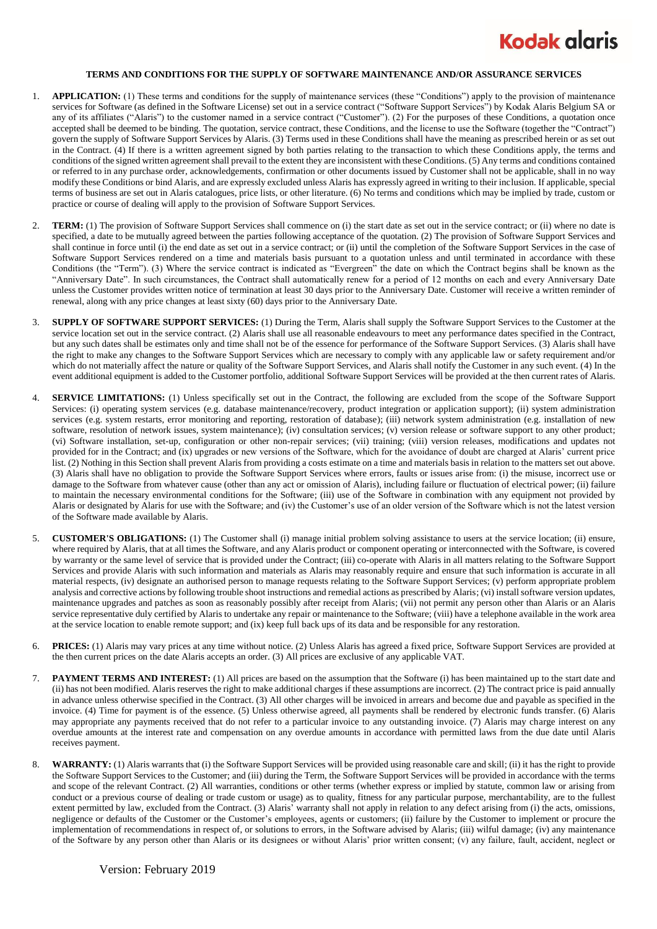## **Kodak alaris**

## **TERMS AND CONDITIONS FOR THE SUPPLY OF SOFTWARE MAINTENANCE AND/OR ASSURANCE SERVICES**

- 1. **APPLICATION:** (1) These terms and conditions for the supply of maintenance services (these "Conditions") apply to the provision of maintenance services for Software (as defined in the Software License) set out in a service contract ("Software Support Services") by Kodak Alaris Belgium SA or any of its affiliates ("Alaris") to the customer named in a service contract ("Customer"). (2) For the purposes of these Conditions, a quotation once accepted shall be deemed to be binding. The quotation, service contract, these Conditions, and the license to use the Software (together the "Contract") govern the supply of Software Support Services by Alaris. (3) Terms used in these Conditions shall have the meaning as prescribed herein or as set out in the Contract. (4) If there is a written agreement signed by both parties relating to the transaction to which these Conditions apply, the terms and conditions of the signed written agreement shall prevail to the extent they are inconsistent with these Conditions. (5) Any terms and conditions contained or referred to in any purchase order, acknowledgements, confirmation or other documents issued by Customer shall not be applicable, shall in no way modify these Conditions or bind Alaris, and are expressly excluded unless Alaris has expressly agreed in writing to their inclusion. If applicable, special terms of business are set out in Alaris catalogues, price lists, or other literature. (6) No terms and conditions which may be implied by trade, custom or practice or course of dealing will apply to the provision of Software Support Services.
- 2. **TERM:** (1) The provision of Software Support Services shall commence on (i) the start date as set out in the service contract; or (ii) where no date is specified, a date to be mutually agreed between the parties following acceptance of the quotation. (2) The provision of Software Support Services and shall continue in force until (i) the end date as set out in a service contract; or (ii) until the completion of the Software Support Services in the case of Software Support Services rendered on a time and materials basis pursuant to a quotation unless and until terminated in accordance with these Conditions (the "Term"). (3) Where the service contract is indicated as "Evergreen" the date on which the Contract begins shall be known as the "Anniversary Date". In such circumstances, the Contract shall automatically renew for a period of 12 months on each and every Anniversary Date unless the Customer provides written notice of termination at least 30 days prior to the Anniversary Date. Customer will receive a written reminder of renewal, along with any price changes at least sixty (60) days prior to the Anniversary Date.
- 3. **SUPPLY OF SOFTWARE SUPPORT SERVICES:** (1) During the Term, Alaris shall supply the Software Support Services to the Customer at the service location set out in the service contract. (2) Alaris shall use all reasonable endeavours to meet any performance dates specified in the Contract, but any such dates shall be estimates only and time shall not be of the essence for performance of the Software Support Services. (3) Alaris shall have the right to make any changes to the Software Support Services which are necessary to comply with any applicable law or safety requirement and/or which do not materially affect the nature or quality of the Software Support Services, and Alaris shall notify the Customer in any such event. (4) In the event additional equipment is added to the Customer portfolio, additional Software Support Services will be provided at the then current rates of Alaris.
- 4. **SERVICE LIMITATIONS:** (1) Unless specifically set out in the Contract, the following are excluded from the scope of the Software Support Services: (i) operating system services (e.g. database maintenance/recovery, product integration or application support); (ii) system administration services (e.g. system restarts, error monitoring and reporting, restoration of database); (iii) network system administration (e.g. installation of new software, resolution of network issues, system maintenance); (iv) consultation services; (v) version release or software support to any other product; (vi) Software installation, set-up, configuration or other non-repair services; (vii) training; (viii) version releases, modifications and updates not provided for in the Contract; and (ix) upgrades or new versions of the Software, which for the avoidance of doubt are charged at Alaris' current price list. (2) Nothing in this Section shall prevent Alaris from providing a costs estimate on a time and materials basis in relation to the matters set out above. (3) Alaris shall have no obligation to provide the Software Support Services where errors, faults or issues arise from: (i) the misuse, incorrect use or damage to the Software from whatever cause (other than any act or omission of Alaris), including failure or fluctuation of electrical power; (ii) failure to maintain the necessary environmental conditions for the Software; (iii) use of the Software in combination with any equipment not provided by Alaris or designated by Alaris for use with the Software; and (iv) the Customer's use of an older version of the Software which is not the latest version of the Software made available by Alaris.
- 5. **CUSTOMER'S OBLIGATIONS:** (1) The Customer shall (i) manage initial problem solving assistance to users at the service location; (ii) ensure, where required by Alaris, that at all times the Software, and any Alaris product or component operating or interconnected with the Software, is covered by warranty or the same level of service that is provided under the Contract; (iii) co-operate with Alaris in all matters relating to the Software Support Services and provide Alaris with such information and materials as Alaris may reasonably require and ensure that such information is accurate in all material respects, (iv) designate an authorised person to manage requests relating to the Software Support Services; (v) perform appropriate problem analysis and corrective actions by following trouble shoot instructions and remedial actions as prescribed by Alaris; (vi) install software version updates, maintenance upgrades and patches as soon as reasonably possibly after receipt from Alaris; (vii) not permit any person other than Alaris or an Alaris service representative duly certified by Alaris to undertake any repair or maintenance to the Software; (viii) have a telephone available in the work area at the service location to enable remote support; and (ix) keep full back ups of its data and be responsible for any restoration.
- 6. **PRICES:** (1) Alaris may vary prices at any time without notice. (2) Unless Alaris has agreed a fixed price, Software Support Services are provided at the then current prices on the date Alaris accepts an order. (3) All prices are exclusive of any applicable VAT.
- 7. **PAYMENT TERMS AND INTEREST:** (1) All prices are based on the assumption that the Software (i) has been maintained up to the start date and (ii) has not been modified. Alaris reserves the right to make additional charges if these assumptions are incorrect. (2) The contract price is paid annually in advance unless otherwise specified in the Contract. (3) All other charges will be invoiced in arrears and become due and payable as specified in the invoice. (4) Time for payment is of the essence. (5) Unless otherwise agreed, all payments shall be rendered by electronic funds transfer. (6) Alaris may appropriate any payments received that do not refer to a particular invoice to any outstanding invoice. (7) Alaris may charge interest on any overdue amounts at the interest rate and compensation on any overdue amounts in accordance with permitted laws from the due date until Alaris receives payment.
- WARRANTY: (1) Alaris warrants that (i) the Software Support Services will be provided using reasonable care and skill; (ii) it has the right to provide the Software Support Services to the Customer; and (iii) during the Term, the Software Support Services will be provided in accordance with the terms and scope of the relevant Contract. (2) All warranties, conditions or other terms (whether express or implied by statute, common law or arising from conduct or a previous course of dealing or trade custom or usage) as to quality, fitness for any particular purpose, merchantability, are to the fullest extent permitted by law, excluded from the Contract. (3) Alaris' warranty shall not apply in relation to any defect arising from (i) the acts, omissions, negligence or defaults of the Customer or the Customer's employees, agents or customers; (ii) failure by the Customer to implement or procure the implementation of recommendations in respect of, or solutions to errors, in the Software advised by Alaris; (iii) wilful damage; (iv) any maintenance of the Software by any person other than Alaris or its designees or without Alaris' prior written consent; (v) any failure, fault, accident, neglect or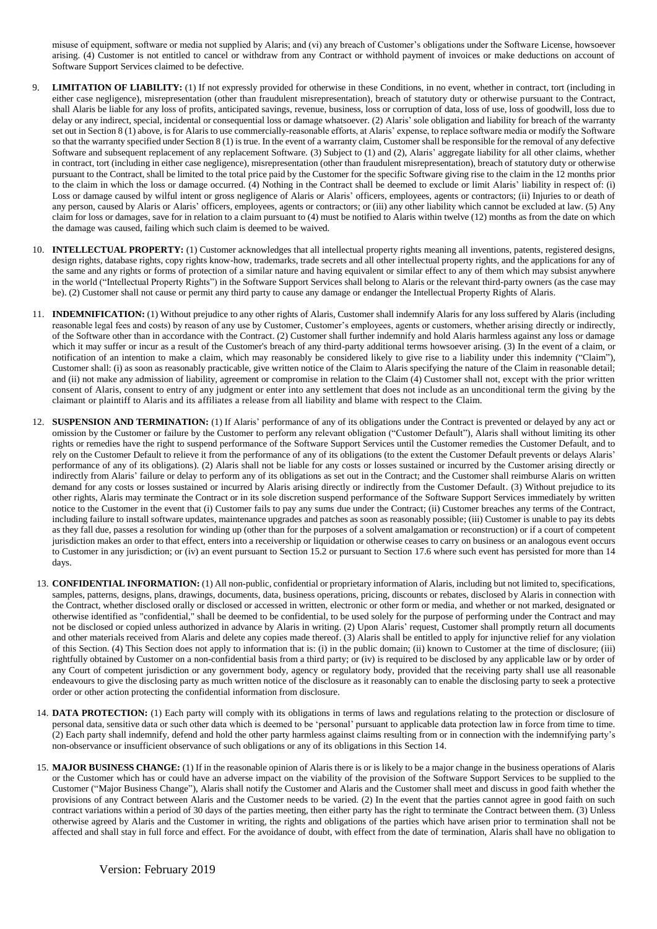misuse of equipment, software or media not supplied by Alaris; and (vi) any breach of Customer's obligations under the Software License, howsoever arising. (4) Customer is not entitled to cancel or withdraw from any Contract or withhold payment of invoices or make deductions on account of Software Support Services claimed to be defective.

- 9. **LIMITATION OF LIABILITY:** (1) If not expressly provided for otherwise in these Conditions, in no event, whether in contract, tort (including in either case negligence), misrepresentation (other than fraudulent misrepresentation), breach of statutory duty or otherwise pursuant to the Contract, shall Alaris be liable for any loss of profits, anticipated savings, revenue, business, loss or corruption of data, loss of use, loss of goodwill, loss due to delay or any indirect, special, incidental or consequential loss or damage whatsoever. (2) Alaris' sole obligation and liability for breach of the warranty set out in Section 8 (1) above, is for Alaris to use commercially-reasonable efforts, at Alaris' expense, to replace software media or modify the Software so that the warranty specified under Section 8 (1) is true. In the event of a warranty claim, Customer shall be responsible for the removal of any defective Software and subsequent replacement of any replacement Software. (3) Subject to (1) and (2), Alaris' aggregate liability for all other claims, whether in contract, tort (including in either case negligence), misrepresentation (other than fraudulent misrepresentation), breach of statutory duty or otherwise pursuant to the Contract, shall be limited to the total price paid by the Customer for the specific Software giving rise to the claim in the 12 months prior to the claim in which the loss or damage occurred. (4) Nothing in the Contract shall be deemed to exclude or limit Alaris' liability in respect of: (i) Loss or damage caused by wilful intent or gross negligence of Alaris or Alaris' officers, employees, agents or contractors; (ii) Injuries to or death of any person, caused by Alaris or Alaris' officers, employees, agents or contractors; or (iii) any other liability which cannot be excluded at law. (5) Any claim for loss or damages, save for in relation to a claim pursuant to (4) must be notified to Alaris within twelve (12) months as from the date on which the damage was caused, failing which such claim is deemed to be waived.
- 10. **INTELLECTUAL PROPERTY:** (1) Customer acknowledges that all intellectual property rights meaning all inventions, patents, registered designs, design rights, database rights, copy rights know-how, trademarks, trade secrets and all other intellectual property rights, and the applications for any of the same and any rights or forms of protection of a similar nature and having equivalent or similar effect to any of them which may subsist anywhere in the world ("Intellectual Property Rights") in the Software Support Services shall belong to Alaris or the relevant third-party owners (as the case may be). (2) Customer shall not cause or permit any third party to cause any damage or endanger the Intellectual Property Rights of Alaris.
- 11. **INDEMNIFICATION:** (1) Without prejudice to any other rights of Alaris, Customer shall indemnify Alaris for any loss suffered by Alaris (including reasonable legal fees and costs) by reason of any use by Customer, Customer's employees, agents or customers, whether arising directly or indirectly, of the Software other than in accordance with the Contract. (2) Customer shall further indemnify and hold Alaris harmless against any loss or damage which it may suffer or incur as a result of the Customer's breach of any third-party additional terms howsoever arising. (3) In the event of a claim, or notification of an intention to make a claim, which may reasonably be considered likely to give rise to a liability under this indemnity ("Claim"), Customer shall: (i) as soon as reasonably practicable, give written notice of the Claim to Alaris specifying the nature of the Claim in reasonable detail; and (ii) not make any admission of liability, agreement or compromise in relation to the Claim (4) Customer shall not, except with the prior written consent of Alaris, consent to entry of any judgment or enter into any settlement that does not include as an unconditional term the giving by the claimant or plaintiff to Alaris and its affiliates a release from all liability and blame with respect to the Claim.
- 12. **SUSPENSION AND TERMINATION:** (1) If Alaris' performance of any of its obligations under the Contract is prevented or delayed by any act or omission by the Customer or failure by the Customer to perform any relevant obligation ("Customer Default"), Alaris shall without limiting its other rights or remedies have the right to suspend performance of the Software Support Services until the Customer remedies the Customer Default, and to rely on the Customer Default to relieve it from the performance of any of its obligations (to the extent the Customer Default prevents or delays Alaris' performance of any of its obligations). (2) Alaris shall not be liable for any costs or losses sustained or incurred by the Customer arising directly or indirectly from Alaris' failure or delay to perform any of its obligations as set out in the Contract; and the Customer shall reimburse Alaris on written demand for any costs or losses sustained or incurred by Alaris arising directly or indirectly from the Customer Default. (3) Without prejudice to its other rights, Alaris may terminate the Contract or in its sole discretion suspend performance of the Software Support Services immediately by written notice to the Customer in the event that (i) Customer fails to pay any sums due under the Contract; (ii) Customer breaches any terms of the Contract, including failure to install software updates, maintenance upgrades and patches as soon as reasonably possible; (iii) Customer is unable to pay its debts as they fall due, passes a resolution for winding up (other than for the purposes of a solvent amalgamation or reconstruction) or if a court of competent jurisdiction makes an order to that effect, enters into a receivership or liquidation or otherwise ceases to carry on business or an analogous event occurs to Customer in any jurisdiction; or (iv) an event pursuant to Section 15.2 or pursuant to Section 17.6 where such event has persisted for more than 14 days.
- 13. **CONFIDENTIAL INFORMATION:** (1) All non-public, confidential or proprietary information of Alaris, including but not limited to, specifications, samples, patterns, designs, plans, drawings, documents, data, business operations, pricing, discounts or rebates, disclosed by Alaris in connection with the Contract, whether disclosed orally or disclosed or accessed in written, electronic or other form or media, and whether or not marked, designated or otherwise identified as "confidential," shall be deemed to be confidential, to be used solely for the purpose of performing under the Contract and may not be disclosed or copied unless authorized in advance by Alaris in writing. (2) Upon Alaris' request, Customer shall promptly return all documents and other materials received from Alaris and delete any copies made thereof. (3) Alaris shall be entitled to apply for injunctive relief for any violation of this Section. (4) This Section does not apply to information that is: (i) in the public domain; (ii) known to Customer at the time of disclosure; (iii) rightfully obtained by Customer on a non-confidential basis from a third party; or (iv) is required to be disclosed by any applicable law or by order of any Court of competent jurisdiction or any government body, agency or regulatory body, provided that the receiving party shall use all reasonable endeavours to give the disclosing party as much written notice of the disclosure as it reasonably can to enable the disclosing party to seek a protective order or other action protecting the confidential information from disclosure.
- 14. **DATA PROTECTION:** (1) Each party will comply with its obligations in terms of laws and regulations relating to the protection or disclosure of personal data, sensitive data or such other data which is deemed to be 'personal' pursuant to applicable data protection law in force from time to time. (2) Each party shall indemnify, defend and hold the other party harmless against claims resulting from or in connection with the indemnifying party's non-observance or insufficient observance of such obligations or any of its obligations in this Section 14.
- 15. **MAJOR BUSINESS CHANGE:** (1) If in the reasonable opinion of Alaris there is or is likely to be a major change in the business operations of Alaris or the Customer which has or could have an adverse impact on the viability of the provision of the Software Support Services to be supplied to the Customer ("Major Business Change"), Alaris shall notify the Customer and Alaris and the Customer shall meet and discuss in good faith whether the provisions of any Contract between Alaris and the Customer needs to be varied. (2) In the event that the parties cannot agree in good faith on such contract variations within a period of 30 days of the parties meeting, then either party has the right to terminate the Contract between them. (3) Unless otherwise agreed by Alaris and the Customer in writing, the rights and obligations of the parties which have arisen prior to termination shall not be affected and shall stay in full force and effect. For the avoidance of doubt, with effect from the date of termination, Alaris shall have no obligation to